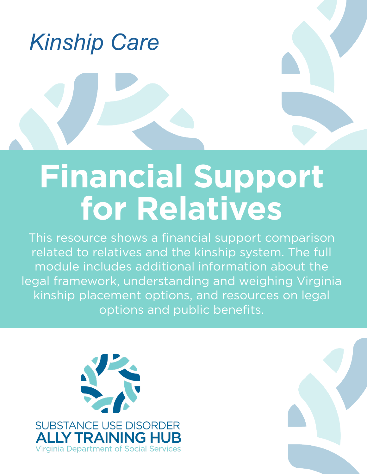

## **Financial Support for Relatives**

This resource shows a financial support comparison related to relatives and the kinship system. The full module includes additional information about the legal framework, understanding and weighing Virginia kinship placement options, and resources on legal options and public benefits.



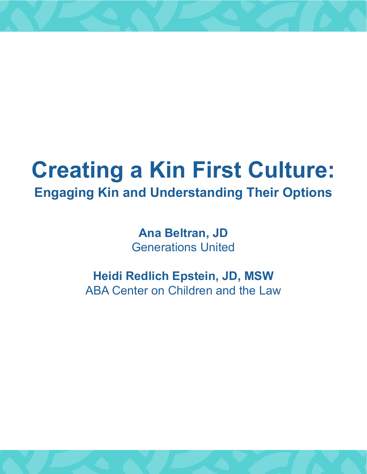## **Creating a Kin First Culture: Engaging Kin and Understanding Their Options**

**Ana Beltran, JD** Generations United

**Heidi Redlich Epstein, JD, MSW** ABA Center on Children and the Law